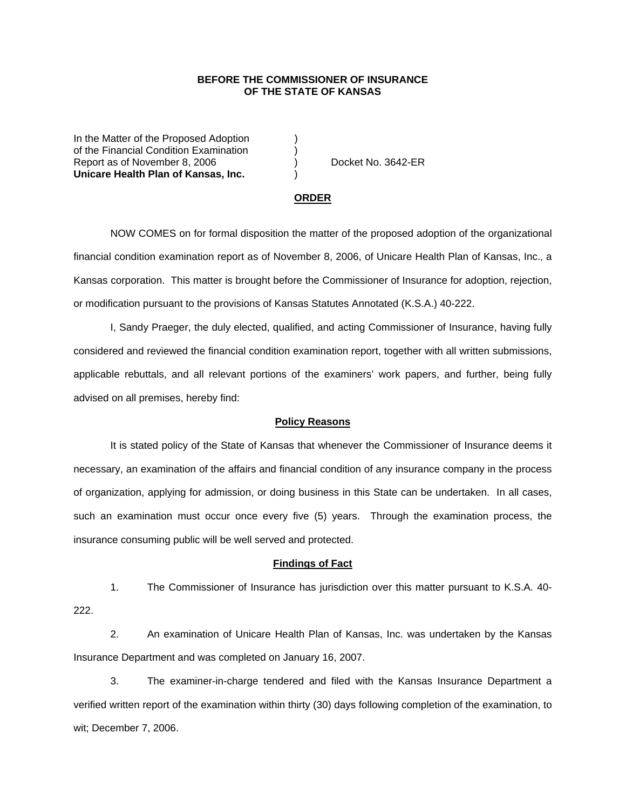## **BEFORE THE COMMISSIONER OF INSURANCE OF THE STATE OF KANSAS**

In the Matter of the Proposed Adoption of the Financial Condition Examination ) Report as of November 8, 2006 (a) Docket No. 3642-ER **Unicare Health Plan of Kansas, Inc.** )

#### **ORDER**

 NOW COMES on for formal disposition the matter of the proposed adoption of the organizational financial condition examination report as of November 8, 2006, of Unicare Health Plan of Kansas, Inc., a Kansas corporation. This matter is brought before the Commissioner of Insurance for adoption, rejection, or modification pursuant to the provisions of Kansas Statutes Annotated (K.S.A.) 40-222.

 I, Sandy Praeger, the duly elected, qualified, and acting Commissioner of Insurance, having fully considered and reviewed the financial condition examination report, together with all written submissions, applicable rebuttals, and all relevant portions of the examiners' work papers, and further, being fully advised on all premises, hereby find:

### **Policy Reasons**

 It is stated policy of the State of Kansas that whenever the Commissioner of Insurance deems it necessary, an examination of the affairs and financial condition of any insurance company in the process of organization, applying for admission, or doing business in this State can be undertaken. In all cases, such an examination must occur once every five (5) years. Through the examination process, the insurance consuming public will be well served and protected.

#### **Findings of Fact**

 1. The Commissioner of Insurance has jurisdiction over this matter pursuant to K.S.A. 40- 222.

 2. An examination of Unicare Health Plan of Kansas, Inc. was undertaken by the Kansas Insurance Department and was completed on January 16, 2007.

 3. The examiner-in-charge tendered and filed with the Kansas Insurance Department a verified written report of the examination within thirty (30) days following completion of the examination, to wit; December 7, 2006.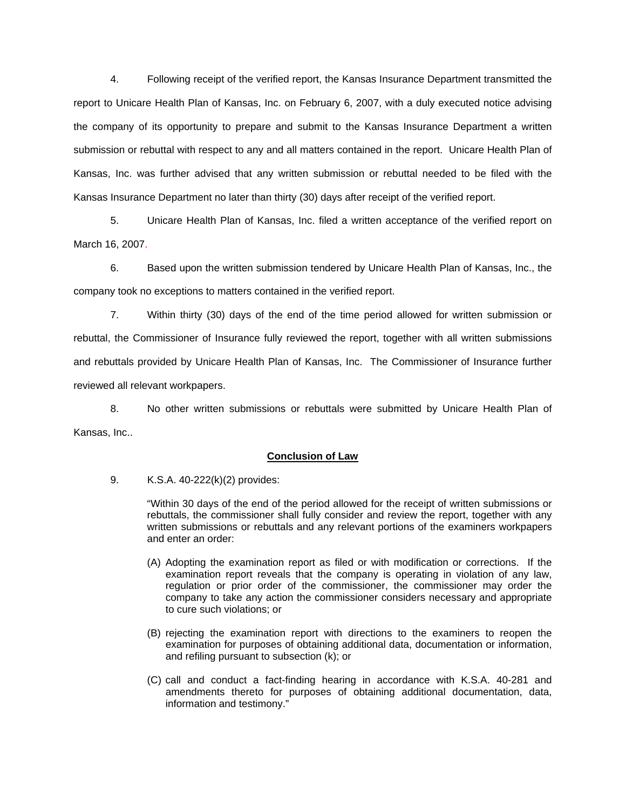4. Following receipt of the verified report, the Kansas Insurance Department transmitted the report to Unicare Health Plan of Kansas, Inc. on February 6, 2007, with a duly executed notice advising the company of its opportunity to prepare and submit to the Kansas Insurance Department a written submission or rebuttal with respect to any and all matters contained in the report. Unicare Health Plan of Kansas, Inc. was further advised that any written submission or rebuttal needed to be filed with the Kansas Insurance Department no later than thirty (30) days after receipt of the verified report.

 5. Unicare Health Plan of Kansas, Inc. filed a written acceptance of the verified report on March 16, 2007.

6. Based upon the written submission tendered by Unicare Health Plan of Kansas, Inc., the company took no exceptions to matters contained in the verified report.

 7. Within thirty (30) days of the end of the time period allowed for written submission or rebuttal, the Commissioner of Insurance fully reviewed the report, together with all written submissions and rebuttals provided by Unicare Health Plan of Kansas, Inc. The Commissioner of Insurance further reviewed all relevant workpapers.

 8. No other written submissions or rebuttals were submitted by Unicare Health Plan of Kansas, Inc..

## **Conclusion of Law**

9. K.S.A. 40-222(k)(2) provides:

"Within 30 days of the end of the period allowed for the receipt of written submissions or rebuttals, the commissioner shall fully consider and review the report, together with any written submissions or rebuttals and any relevant portions of the examiners workpapers and enter an order:

- (A) Adopting the examination report as filed or with modification or corrections. If the examination report reveals that the company is operating in violation of any law, regulation or prior order of the commissioner, the commissioner may order the company to take any action the commissioner considers necessary and appropriate to cure such violations; or
- (B) rejecting the examination report with directions to the examiners to reopen the examination for purposes of obtaining additional data, documentation or information, and refiling pursuant to subsection (k); or
- (C) call and conduct a fact-finding hearing in accordance with K.S.A. 40-281 and amendments thereto for purposes of obtaining additional documentation, data, information and testimony."